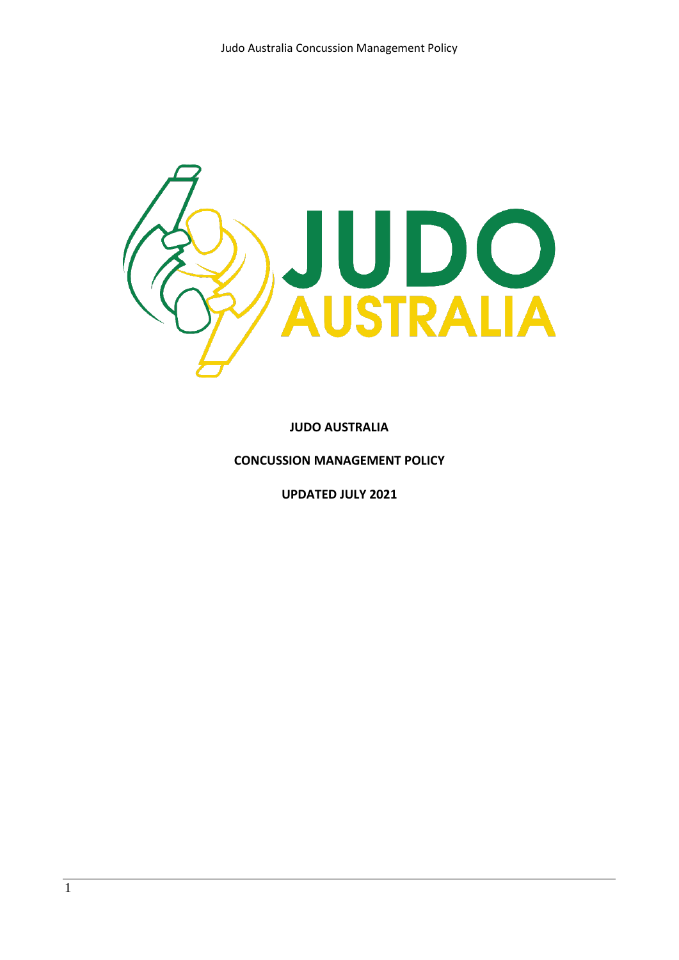

**JUDO AUSTRALIA**

**CONCUSSION MANAGEMENT POLICY**

**UPDATED JULY 2021**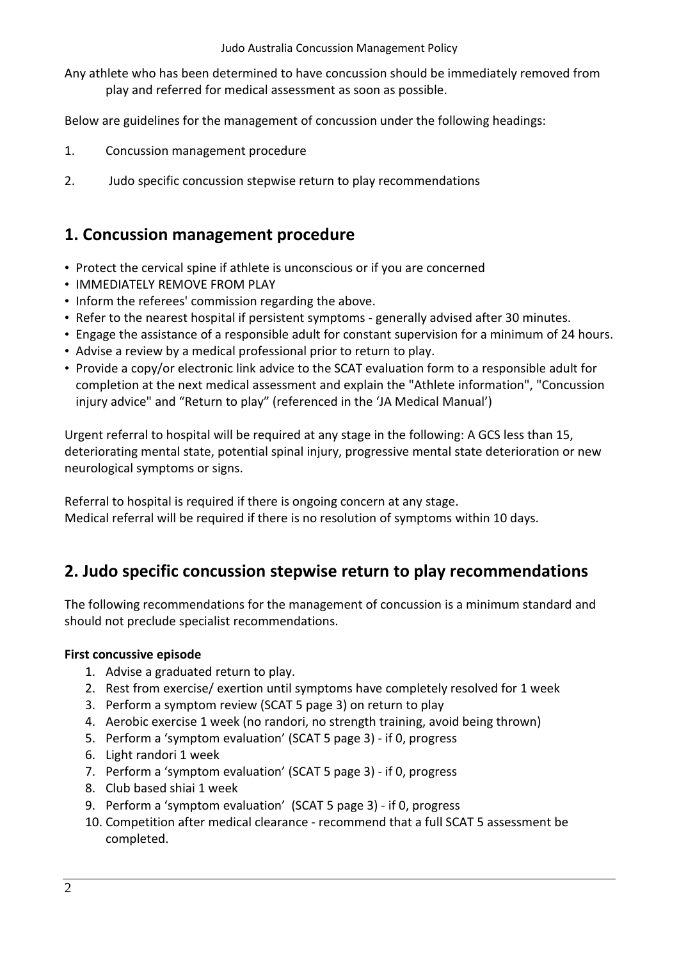Judo Australia Concussion Management Policy

Any athlete who has been determined to have concussion should be immediately removed from play and referred for medical assessment as soon as possible.

Below are guidelines for the management of concussion under the following headings:

- 1. Concussion management procedure
- 2. Judo specific concussion stepwise return to play recommendations

## **1. Concussion management procedure**

- Protect the cervical spine if athlete is unconscious or if you are concerned
- IMMEDIATELY REMOVE FROM PLAY
- Inform the referees' commission regarding the above.
- Refer to the nearest hospital if persistent symptoms generally advised after 30 minutes.
- Engage the assistance of a responsible adult for constant supervision for a minimum of 24 hours.
- Advise a review by a medical professional prior to return to play.
- Provide a copy/or electronic link advice to the SCAT evaluation form to a responsible adult for completion at the next medical assessment and explain the "Athlete information", "Concussion injury advice" and "Return to play" (referenced in the 'JA Medical Manual')

Urgent referral to hospital will be required at any stage in the following: A GCS less than 15, deteriorating mental state, potential spinal injury, progressive mental state deterioration or new neurological symptoms or signs.

Referral to hospital is required if there is ongoing concern at any stage. Medical referral will be required if there is no resolution of symptoms within 10 days.

# **2. Judo specific concussion stepwise return to play recommendations**

The following recommendations for the management of concussion is a minimum standard and should not preclude specialist recommendations.

#### **First concussive episode**

- 1. Advise a graduated return to play.
- 2. Rest from exercise/ exertion until symptoms have completely resolved for 1 week
- 3. Perform a symptom review (SCAT 5 page 3) on return to play
- 4. Aerobic exercise 1 week (no randori, no strength training, avoid being thrown)
- 5. Perform a 'symptom evaluation' (SCAT 5 page 3) if 0, progress
- 6. Light randori 1 week
- 7. Perform a 'symptom evaluation' (SCAT 5 page 3) if 0, progress
- 8. Club based shiai 1 week
- 9. Perform a 'symptom evaluation' (SCAT 5 page 3) if 0, progress
- 10. Competition after medical clearance recommend that a full SCAT 5 assessment be completed.